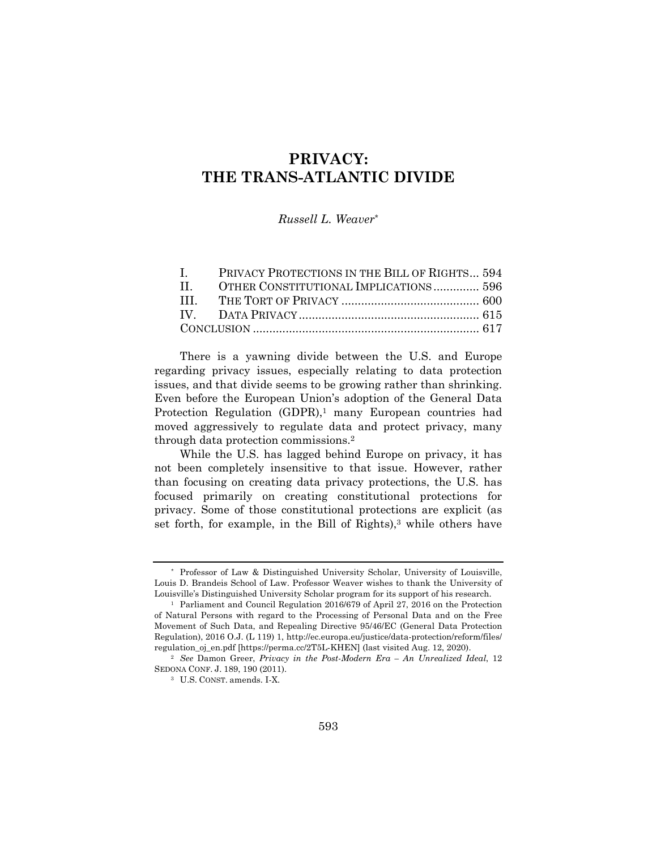# **PRIVACY: THE TRANS-ATLANTIC DIVIDE**

### *Russell L. Weaver\**

|  | I. PRIVACY PROTECTIONS IN THE BILL OF RIGHTS 594 |  |
|--|--------------------------------------------------|--|
|  | II. OTHER CONSTITUTIONAL IMPLICATIONS 596        |  |
|  |                                                  |  |
|  |                                                  |  |
|  |                                                  |  |

There is a yawning divide between the U.S. and Europe regarding privacy issues, especially relating to data protection issues, and that divide seems to be growing rather than shrinking. Even before the European Union's adoption of the General Data Protection Regulation (GDPR),<sup>1</sup> many European countries had moved aggressively to regulate data and protect privacy, many through data protection commissions.2

While the U.S. has lagged behind Europe on privacy, it has not been completely insensitive to that issue. However, rather than focusing on creating data privacy protections, the U.S. has focused primarily on creating constitutional protections for privacy. Some of those constitutional protections are explicit (as set forth, for example, in the Bill of Rights),<sup>3</sup> while others have

 <sup>\*</sup> Professor of Law & Distinguished University Scholar, University of Louisville, Louis D. Brandeis School of Law. Professor Weaver wishes to thank the University of Louisville's Distinguished University Scholar program for its support of his research.

<sup>1</sup> Parliament and Council Regulation 2016/679 of April 27, 2016 on the Protection of Natural Persons with regard to the Processing of Personal Data and on the Free Movement of Such Data, and Repealing Directive 95/46/EC (General Data Protection Regulation), 2016 O.J. (L 119) 1, http://ec.europa.eu/justice/data-protection/reform/files/ regulation\_oj\_en.pdf [https://perma.cc/2T5L-KHEN] (last visited Aug. 12, 2020).

<sup>2</sup> *See* Damon Greer, *Privacy in the Post-Modern Era – An Unrealized Ideal*, 12 SEDONA CONF. J. 189, 190 (2011).

<sup>3</sup> U.S. CONST. amends. I-X.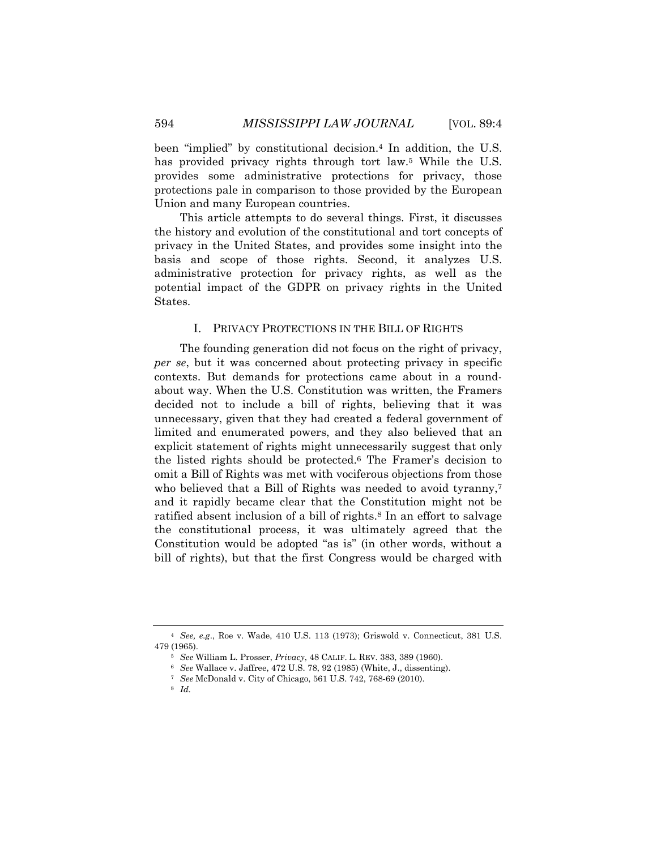been "implied" by constitutional decision.4 In addition, the U.S. has provided privacy rights through tort law.<sup>5</sup> While the U.S. provides some administrative protections for privacy, those protections pale in comparison to those provided by the European Union and many European countries.

This article attempts to do several things. First, it discusses the history and evolution of the constitutional and tort concepts of privacy in the United States, and provides some insight into the basis and scope of those rights. Second, it analyzes U.S. administrative protection for privacy rights, as well as the potential impact of the GDPR on privacy rights in the United States.

#### I. PRIVACY PROTECTIONS IN THE BILL OF RIGHTS

The founding generation did not focus on the right of privacy, *per se*, but it was concerned about protecting privacy in specific contexts. But demands for protections came about in a roundabout way. When the U.S. Constitution was written, the Framers decided not to include a bill of rights, believing that it was unnecessary, given that they had created a federal government of limited and enumerated powers, and they also believed that an explicit statement of rights might unnecessarily suggest that only the listed rights should be protected.6 The Framer's decision to omit a Bill of Rights was met with vociferous objections from those who believed that a Bill of Rights was needed to avoid tyranny,<sup>7</sup> and it rapidly became clear that the Constitution might not be ratified absent inclusion of a bill of rights.<sup>8</sup> In an effort to salvage the constitutional process, it was ultimately agreed that the Constitution would be adopted "as is" (in other words, without a bill of rights), but that the first Congress would be charged with

<sup>4</sup> *See, e.g*., Roe v. Wade, 410 U.S. 113 (1973); Griswold v. Connecticut, 381 U.S. 479 (1965).

<sup>5</sup> *See* William L. Prosser, *Privacy*, 48 CALIF. L. REV. 383, 389 (1960).

<sup>6</sup> *See* Wallace v. Jaffree, 472 U.S. 78, 92 (1985) (White, J., dissenting).

<sup>7</sup> *See* McDonald v. City of Chicago, 561 U.S. 742, 768-69 (2010).

<sup>8</sup> *Id.*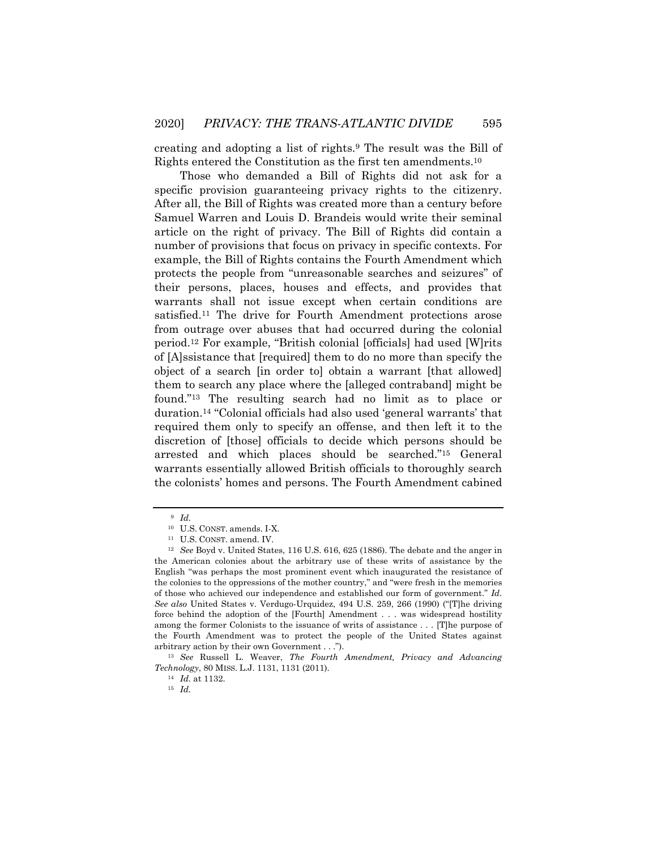creating and adopting a list of rights.9 The result was the Bill of Rights entered the Constitution as the first ten amendments.10

Those who demanded a Bill of Rights did not ask for a specific provision guaranteeing privacy rights to the citizenry. After all, the Bill of Rights was created more than a century before Samuel Warren and Louis D. Brandeis would write their seminal article on the right of privacy. The Bill of Rights did contain a number of provisions that focus on privacy in specific contexts. For example, the Bill of Rights contains the Fourth Amendment which protects the people from "unreasonable searches and seizures" of their persons, places, houses and effects, and provides that warrants shall not issue except when certain conditions are satisfied.11 The drive for Fourth Amendment protections arose from outrage over abuses that had occurred during the colonial period.12 For example, "British colonial [officials] had used [W]rits of [A]ssistance that [required] them to do no more than specify the object of a search [in order to] obtain a warrant [that allowed] them to search any place where the [alleged contraband] might be found."13 The resulting search had no limit as to place or duration.14 "Colonial officials had also used 'general warrants' that required them only to specify an offense, and then left it to the discretion of [those] officials to decide which persons should be arrested and which places should be searched."15 General warrants essentially allowed British officials to thoroughly search the colonists' homes and persons. The Fourth Amendment cabined

<sup>9</sup> *Id.*

<sup>10</sup> U.S. CONST. amends. I-X.

<sup>11</sup> U.S. CONST. amend. IV.

<sup>12</sup> *See* Boyd v. United States, 116 U.S. 616, 625 (1886). The debate and the anger in the American colonies about the arbitrary use of these writs of assistance by the English "was perhaps the most prominent event which inaugurated the resistance of the colonies to the oppressions of the mother country," and "were fresh in the memories of those who achieved our independence and established our form of government." *Id*. *See also* United States v. Verdugo-Urquidez, 494 U.S. 259, 266 (1990) ("[T]he driving force behind the adoption of the [Fourth] Amendment . . . was widespread hostility among the former Colonists to the issuance of writs of assistance . . . [T]he purpose of the Fourth Amendment was to protect the people of the United States against arbitrary action by their own Government . . .").

<sup>13</sup> *See* Russell L. Weaver, *The Fourth Amendment, Privacy and Advancing Technology*, 80 MISS. L.J. 1131, 1131 (2011).

<sup>14</sup> *Id.* at 1132.

<sup>15</sup> *Id.*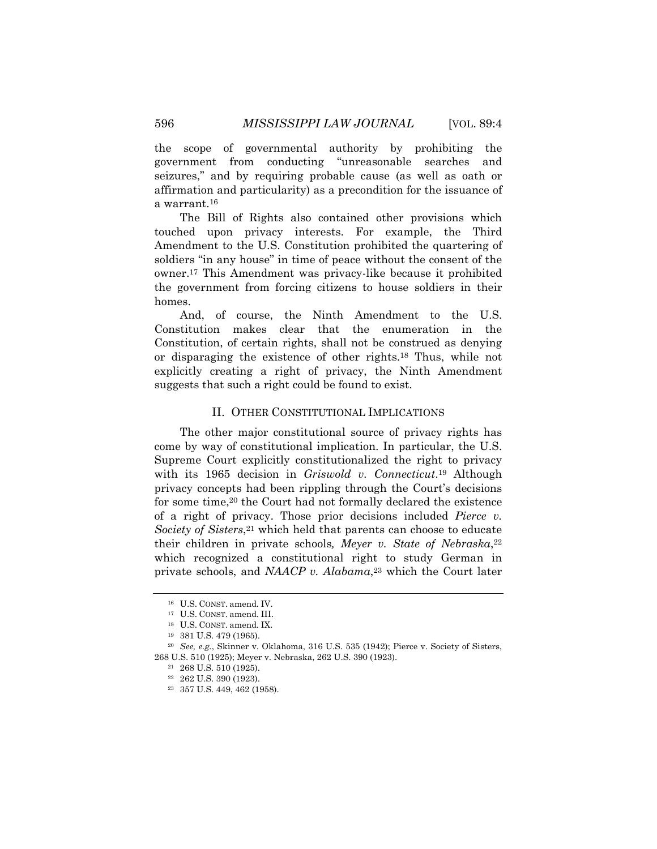the scope of governmental authority by prohibiting the government from conducting "unreasonable searches and seizures," and by requiring probable cause (as well as oath or affirmation and particularity) as a precondition for the issuance of a warrant.16

The Bill of Rights also contained other provisions which touched upon privacy interests. For example, the Third Amendment to the U.S. Constitution prohibited the quartering of soldiers "in any house" in time of peace without the consent of the owner.17 This Amendment was privacy-like because it prohibited the government from forcing citizens to house soldiers in their homes.

And, of course, the Ninth Amendment to the U.S. Constitution makes clear that the enumeration in the Constitution, of certain rights, shall not be construed as denying or disparaging the existence of other rights.18 Thus, while not explicitly creating a right of privacy, the Ninth Amendment suggests that such a right could be found to exist.

#### II. OTHER CONSTITUTIONAL IMPLICATIONS

The other major constitutional source of privacy rights has come by way of constitutional implication. In particular, the U.S. Supreme Court explicitly constitutionalized the right to privacy with its 1965 decision in *Griswold v. Connecticut*.19 Although privacy concepts had been rippling through the Court's decisions for some time,<sup>20</sup> the Court had not formally declared the existence of a right of privacy. Those prior decisions included *Pierce v.*  Society of Sisters,<sup>21</sup> which held that parents can choose to educate their children in private schools*, Meyer v. State of Nebraska*,22 which recognized a constitutional right to study German in private schools, and *NAACP v. Alabama*,<sup>23</sup> which the Court later

<sup>16</sup> U.S. CONST. amend. IV.

<sup>17</sup> U.S. CONST. amend. III.

<sup>18</sup> U.S. CONST. amend. IX.

<sup>19 381</sup> U.S. 479 (1965).

<sup>20</sup> *See, e.g.*, Skinner v. Oklahoma, 316 U.S. 535 (1942); Pierce v. Society of Sisters, 268 U.S. 510 (1925); Meyer v. Nebraska, 262 U.S. 390 (1923).

<sup>21 268</sup> U.S. 510 (1925).

<sup>22 262</sup> U.S. 390 (1923).

<sup>23 357</sup> U.S. 449, 462 (1958).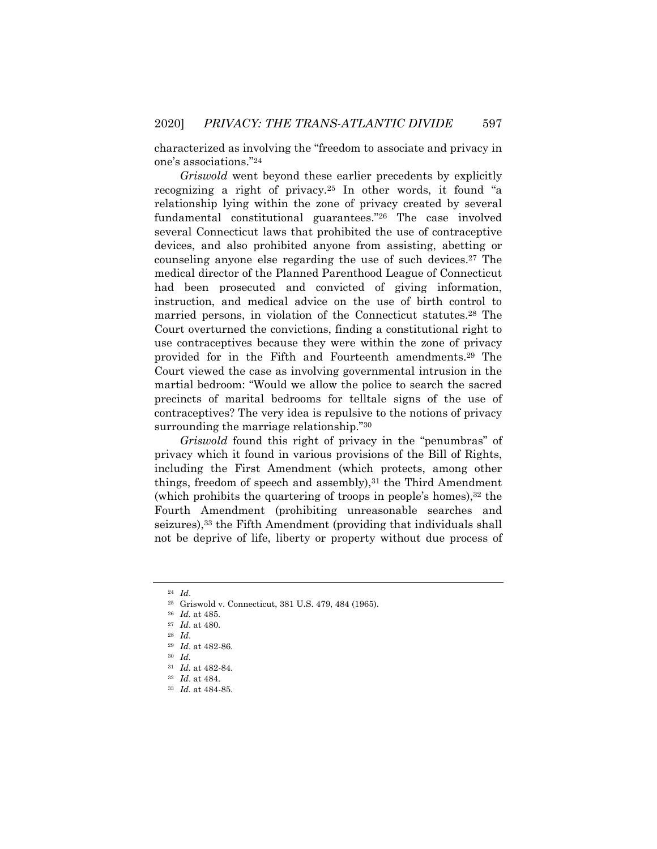characterized as involving the "freedom to associate and privacy in one's associations."24

*Griswold* went beyond these earlier precedents by explicitly recognizing a right of privacy.25 In other words, it found "a relationship lying within the zone of privacy created by several fundamental constitutional guarantees."26 The case involved several Connecticut laws that prohibited the use of contraceptive devices, and also prohibited anyone from assisting, abetting or counseling anyone else regarding the use of such devices.27 The medical director of the Planned Parenthood League of Connecticut had been prosecuted and convicted of giving information, instruction, and medical advice on the use of birth control to married persons, in violation of the Connecticut statutes.28 The Court overturned the convictions, finding a constitutional right to use contraceptives because they were within the zone of privacy provided for in the Fifth and Fourteenth amendments.29 The Court viewed the case as involving governmental intrusion in the martial bedroom: "Would we allow the police to search the sacred precincts of marital bedrooms for telltale signs of the use of contraceptives? The very idea is repulsive to the notions of privacy surrounding the marriage relationship."30

*Griswold* found this right of privacy in the "penumbras" of privacy which it found in various provisions of the Bill of Rights, including the First Amendment (which protects, among other things, freedom of speech and assembly), $31$  the Third Amendment (which prohibits the quartering of troops in people's homes),32 the Fourth Amendment (prohibiting unreasonable searches and seizures),<sup>33</sup> the Fifth Amendment (providing that individuals shall not be deprive of life, liberty or property without due process of

<sup>24</sup> *Id*.

<sup>25</sup> Griswold v. Connecticut, 381 U.S. 479, 484 (1965).

<sup>26</sup> *Id.* at 485.

<sup>27</sup> *Id*. at 480.

<sup>28</sup> *Id*. 29 *Id*. at 482-86.

<sup>30</sup> *Id.*

<sup>31</sup> *Id.* at 482-84.

<sup>32</sup> *Id*. at 484.

<sup>33</sup> *Id.* at 484-85.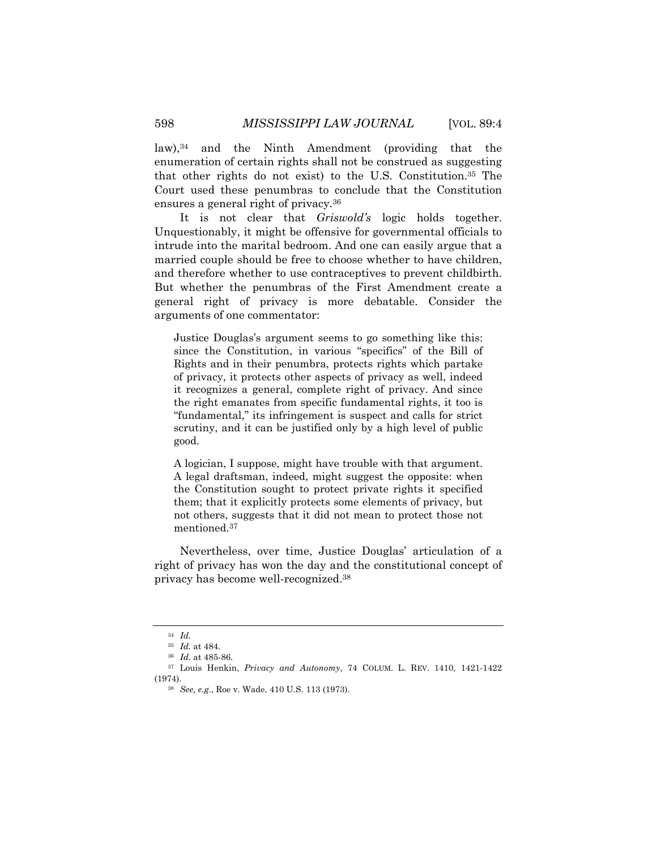law),34 and the Ninth Amendment (providing that the enumeration of certain rights shall not be construed as suggesting that other rights do not exist) to the U.S. Constitution.35 The Court used these penumbras to conclude that the Constitution ensures a general right of privacy.36

It is not clear that *Griswold's* logic holds together. Unquestionably, it might be offensive for governmental officials to intrude into the marital bedroom. And one can easily argue that a married couple should be free to choose whether to have children, and therefore whether to use contraceptives to prevent childbirth. But whether the penumbras of the First Amendment create a general right of privacy is more debatable. Consider the arguments of one commentator:

Justice Douglas's argument seems to go something like this: since the Constitution, in various "specifics" of the Bill of Rights and in their penumbra, protects rights which partake of privacy, it protects other aspects of privacy as well, indeed it recognizes a general, complete right of privacy. And since the right emanates from specific fundamental rights, it too is "fundamental," its infringement is suspect and calls for strict scrutiny, and it can be justified only by a high level of public good.

A logician, I suppose, might have trouble with that argument. A legal draftsman, indeed, might suggest the opposite: when the Constitution sought to protect private rights it specified them; that it explicitly protects some elements of privacy, but not others, suggests that it did not mean to protect those not mentioned.37

Nevertheless, over time, Justice Douglas' articulation of a right of privacy has won the day and the constitutional concept of privacy has become well-recognized.38

<sup>34</sup> *Id.*

<sup>35</sup> *Id.* at 484.

<sup>36</sup> *Id.* at 485-86.

<sup>37</sup> Louis Henkin, *Privacy and Autonomy*, 74 COLUM. L. REV. 1410, 1421-1422 (1974).

<sup>38</sup> *See, e.g*., Roe v. Wade, 410 U.S. 113 (1973).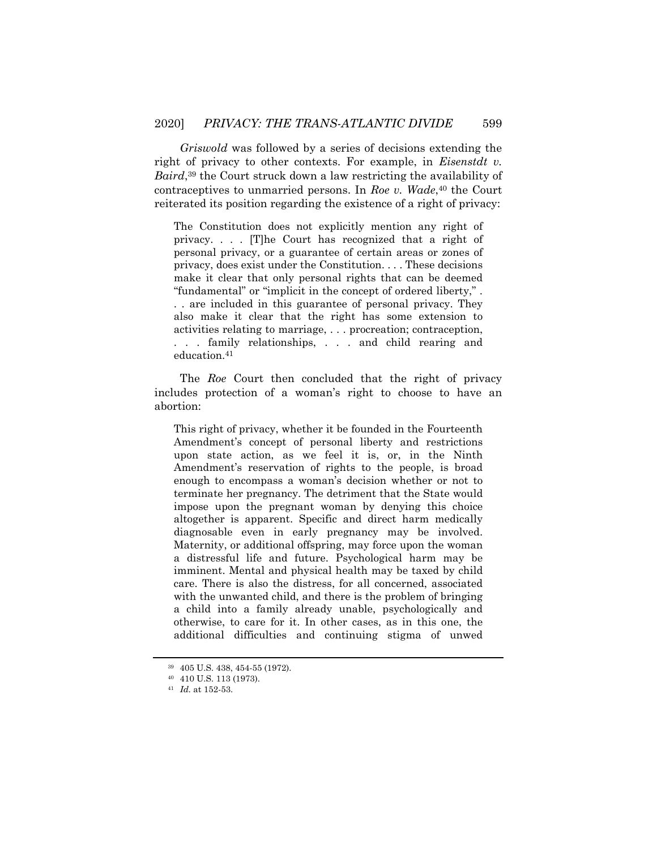*Griswold* was followed by a series of decisions extending the right of privacy to other contexts. For example, in *Eisenstdt v. Baird*,39 the Court struck down a law restricting the availability of contraceptives to unmarried persons. In *Roe v. Wade*,40 the Court reiterated its position regarding the existence of a right of privacy:

The Constitution does not explicitly mention any right of privacy. . . . [T]he Court has recognized that a right of personal privacy, or a guarantee of certain areas or zones of privacy, does exist under the Constitution. . . . These decisions make it clear that only personal rights that can be deemed "fundamental" or "implicit in the concept of ordered liberty," . . . are included in this guarantee of personal privacy. They also make it clear that the right has some extension to activities relating to marriage, . . . procreation; contraception, . . . family relationships, . . . and child rearing and education.41

The *Roe* Court then concluded that the right of privacy includes protection of a woman's right to choose to have an abortion:

This right of privacy, whether it be founded in the Fourteenth Amendment's concept of personal liberty and restrictions upon state action, as we feel it is, or, in the Ninth Amendment's reservation of rights to the people, is broad enough to encompass a woman's decision whether or not to terminate her pregnancy. The detriment that the State would impose upon the pregnant woman by denying this choice altogether is apparent. Specific and direct harm medically diagnosable even in early pregnancy may be involved. Maternity, or additional offspring, may force upon the woman a distressful life and future. Psychological harm may be imminent. Mental and physical health may be taxed by child care. There is also the distress, for all concerned, associated with the unwanted child, and there is the problem of bringing a child into a family already unable, psychologically and otherwise, to care for it. In other cases, as in this one, the additional difficulties and continuing stigma of unwed

<sup>39 405</sup> U.S. 438, 454-55 (1972).

<sup>40 410</sup> U.S. 113 (1973).

<sup>41</sup> *Id.* at 152-53.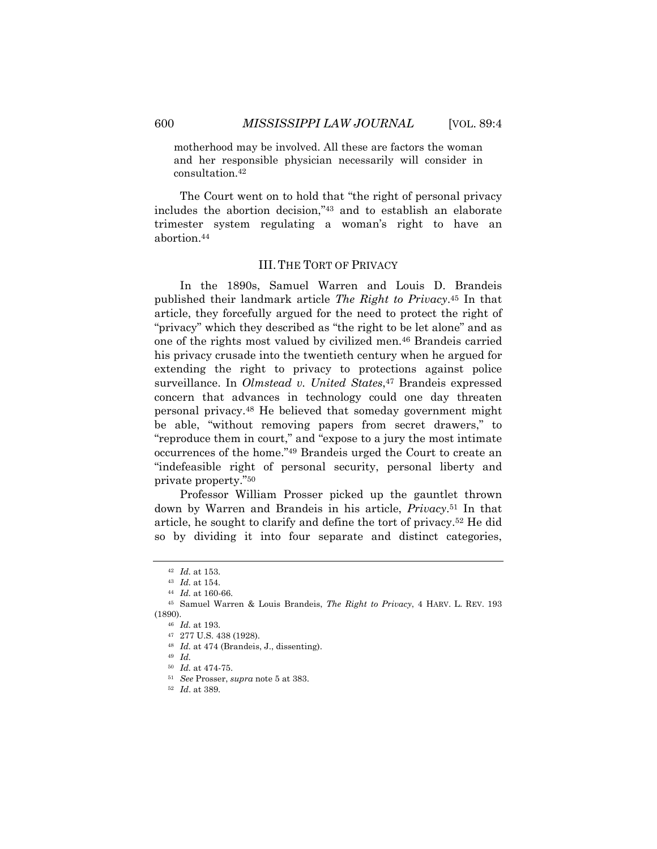motherhood may be involved. All these are factors the woman and her responsible physician necessarily will consider in consultation.42

The Court went on to hold that "the right of personal privacy includes the abortion decision,"43 and to establish an elaborate trimester system regulating a woman's right to have an abortion.44

# III. THE TORT OF PRIVACY

In the 1890s, Samuel Warren and Louis D. Brandeis published their landmark article *The Right to Privacy*.45 In that article, they forcefully argued for the need to protect the right of "privacy" which they described as "the right to be let alone" and as one of the rights most valued by civilized men.46 Brandeis carried his privacy crusade into the twentieth century when he argued for extending the right to privacy to protections against police surveillance. In *Olmstead v. United States*,47 Brandeis expressed concern that advances in technology could one day threaten personal privacy.48 He believed that someday government might be able, "without removing papers from secret drawers," to "reproduce them in court," and "expose to a jury the most intimate occurrences of the home."49 Brandeis urged the Court to create an "indefeasible right of personal security, personal liberty and private property."50

Professor William Prosser picked up the gauntlet thrown down by Warren and Brandeis in his article, *Privacy*.51 In that article, he sought to clarify and define the tort of privacy.52 He did so by dividing it into four separate and distinct categories,

<sup>42</sup> *Id.* at 153.

<sup>43</sup> *Id.* at 154.

<sup>44</sup> *Id.* at 160-66.

<sup>45</sup> Samuel Warren & Louis Brandeis, *The Right to Privacy*, 4 HARV. L. REV. 193 (1890).

<sup>46</sup> *Id.* at 193.

<sup>47 277</sup> U.S. 438 (1928).

<sup>48</sup> *Id.* at 474 (Brandeis, J., dissenting).

<sup>49</sup> *Id.*

<sup>50</sup> *Id.* at 474-75.

<sup>51</sup> *See* Prosser, *supra* note 5 at 383.

<sup>52</sup> *Id*. at 389.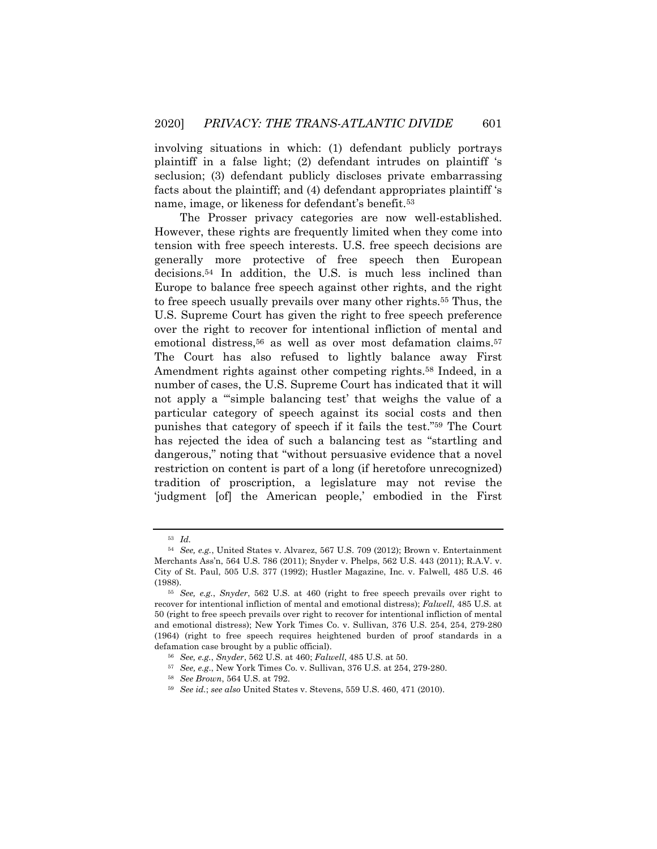involving situations in which: (1) defendant publicly portrays plaintiff in a false light; (2) defendant intrudes on plaintiff 's seclusion; (3) defendant publicly discloses private embarrassing facts about the plaintiff; and (4) defendant appropriates plaintiff 's name, image, or likeness for defendant's benefit.<sup>53</sup>

The Prosser privacy categories are now well-established. However, these rights are frequently limited when they come into tension with free speech interests. U.S. free speech decisions are generally more protective of free speech then European decisions.54 In addition, the U.S. is much less inclined than Europe to balance free speech against other rights, and the right to free speech usually prevails over many other rights.55 Thus, the U.S. Supreme Court has given the right to free speech preference over the right to recover for intentional infliction of mental and emotional distress,<sup>56</sup> as well as over most defamation claims.<sup>57</sup> The Court has also refused to lightly balance away First Amendment rights against other competing rights.<sup>58</sup> Indeed, in a number of cases, the U.S. Supreme Court has indicated that it will not apply a "'simple balancing test' that weighs the value of a particular category of speech against its social costs and then punishes that category of speech if it fails the test."59 The Court has rejected the idea of such a balancing test as "startling and dangerous," noting that "without persuasive evidence that a novel restriction on content is part of a long (if heretofore unrecognized) tradition of proscription, a legislature may not revise the 'judgment [of] the American people,' embodied in the First

<sup>53</sup> *Id.*

<sup>54</sup> *See, e.g.*, United States v. Alvarez, 567 U.S. 709 (2012); Brown v. Entertainment Merchants Ass'n, 564 U.S. 786 (2011); Snyder v. Phelps, 562 U.S. 443 (2011); R.A.V. v. City of St. Paul, 505 U.S. 377 (1992); Hustler Magazine, Inc. v. Falwell*,* 485 U.S. 46 (1988).

<sup>55</sup> *See, e.g.*, *Snyder*, 562 U.S. at 460 (right to free speech prevails over right to recover for intentional infliction of mental and emotional distress); *Falwell*, 485 U.S. at 50 (right to free speech prevails over right to recover for intentional infliction of mental and emotional distress); New York Times Co. v. Sullivan*,* 376 U.S. 254, 254, 279-280 (1964) (right to free speech requires heightened burden of proof standards in a defamation case brought by a public official).

<sup>56</sup> *See, e.g.*, *Snyder*, 562 U.S. at 460; *Falwell*, 485 U.S. at 50.

<sup>57</sup> *See, e.g*., New York Times Co. v. Sullivan, 376 U.S. at 254, 279-280.

<sup>58</sup> *See Brown*, 564 U.S. at 792.

<sup>59</sup> *See id.*; *see also* United States v. Stevens, 559 U.S. 460, 471 (2010).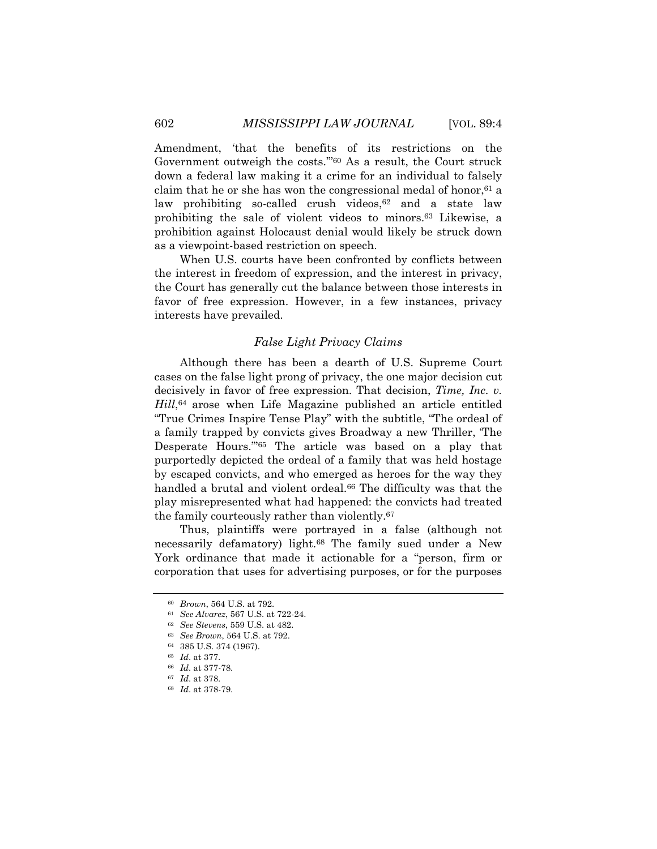Amendment, 'that the benefits of its restrictions on the Government outweigh the costs."<sup>60</sup> As a result, the Court struck down a federal law making it a crime for an individual to falsely claim that he or she has won the congressional medal of honor,  $61$  a law prohibiting so-called crush videos,<sup>62</sup> and a state law prohibiting the sale of violent videos to minors.63 Likewise, a prohibition against Holocaust denial would likely be struck down as a viewpoint-based restriction on speech.

When U.S. courts have been confronted by conflicts between the interest in freedom of expression, and the interest in privacy, the Court has generally cut the balance between those interests in favor of free expression. However, in a few instances, privacy interests have prevailed.

# *False Light Privacy Claims*

Although there has been a dearth of U.S. Supreme Court cases on the false light prong of privacy, the one major decision cut decisively in favor of free expression. That decision, *Time, Inc. v. Hill*,64 arose when Life Magazine published an article entitled "True Crimes Inspire Tense Play" with the subtitle, "The ordeal of a family trapped by convicts gives Broadway a new Thriller, 'The Desperate Hours.'"65 The article was based on a play that purportedly depicted the ordeal of a family that was held hostage by escaped convicts, and who emerged as heroes for the way they handled a brutal and violent ordeal.<sup>66</sup> The difficulty was that the play misrepresented what had happened: the convicts had treated the family courteously rather than violently.67

Thus, plaintiffs were portrayed in a false (although not necessarily defamatory) light.68 The family sued under a New York ordinance that made it actionable for a "person, firm or corporation that uses for advertising purposes, or for the purposes

<sup>60</sup> *Brown*, 564 U.S. at 792.

<sup>61</sup> *See Alvarez*, 567 U.S. at 722-24.

<sup>62</sup> *See Stevens*, 559 U.S. at 482.

<sup>63</sup> *See Brown*, 564 U.S. at 792. 64 385 U.S. 374 (1967).

<sup>65</sup> *Id*. at 377.

<sup>66</sup> *Id*. at 377-78.

<sup>67</sup> *Id*. at 378.

<sup>68</sup> *Id*. at 378-79.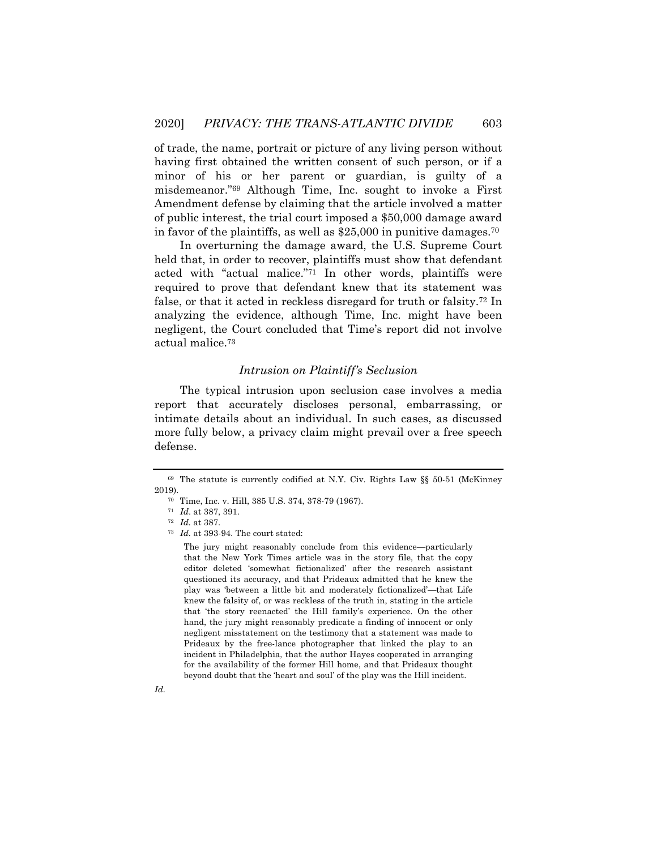of trade, the name, portrait or picture of any living person without having first obtained the written consent of such person, or if a minor of his or her parent or guardian, is guilty of a misdemeanor."69 Although Time, Inc. sought to invoke a First Amendment defense by claiming that the article involved a matter of public interest, the trial court imposed a \$50,000 damage award in favor of the plaintiffs, as well as  $$25,000$  in punitive damages.<sup>70</sup>

In overturning the damage award, the U.S. Supreme Court held that, in order to recover, plaintiffs must show that defendant acted with "actual malice."71 In other words, plaintiffs were required to prove that defendant knew that its statement was false, or that it acted in reckless disregard for truth or falsity.72 In analyzing the evidence, although Time, Inc. might have been negligent, the Court concluded that Time's report did not involve actual malice.73

# *Intrusion on Plaintiff's Seclusion*

The typical intrusion upon seclusion case involves a media report that accurately discloses personal, embarrassing, or intimate details about an individual. In such cases, as discussed more fully below, a privacy claim might prevail over a free speech defense.

<sup>69</sup> The statute is currently codified at N.Y. Civ. Rights Law §§ 50-51 (McKinney 2019).

<sup>70</sup> Time, Inc. v. Hill, 385 U.S. 374, 378-79 (1967).

<sup>71</sup> *Id*. at 387, 391.

<sup>72</sup> *Id.* at 387.

<sup>73</sup> *Id.* at 393-94. The court stated:

The jury might reasonably conclude from this evidence—particularly that the New York Times article was in the story file, that the copy editor deleted 'somewhat fictionalized' after the research assistant questioned its accuracy, and that Prideaux admitted that he knew the play was 'between a little bit and moderately fictionalized'—that Life knew the falsity of, or was reckless of the truth in, stating in the article that 'the story reenacted' the Hill family's experience. On the other hand, the jury might reasonably predicate a finding of innocent or only negligent misstatement on the testimony that a statement was made to Prideaux by the free-lance photographer that linked the play to an incident in Philadelphia, that the author Hayes cooperated in arranging for the availability of the former Hill home, and that Prideaux thought beyond doubt that the 'heart and soul' of the play was the Hill incident.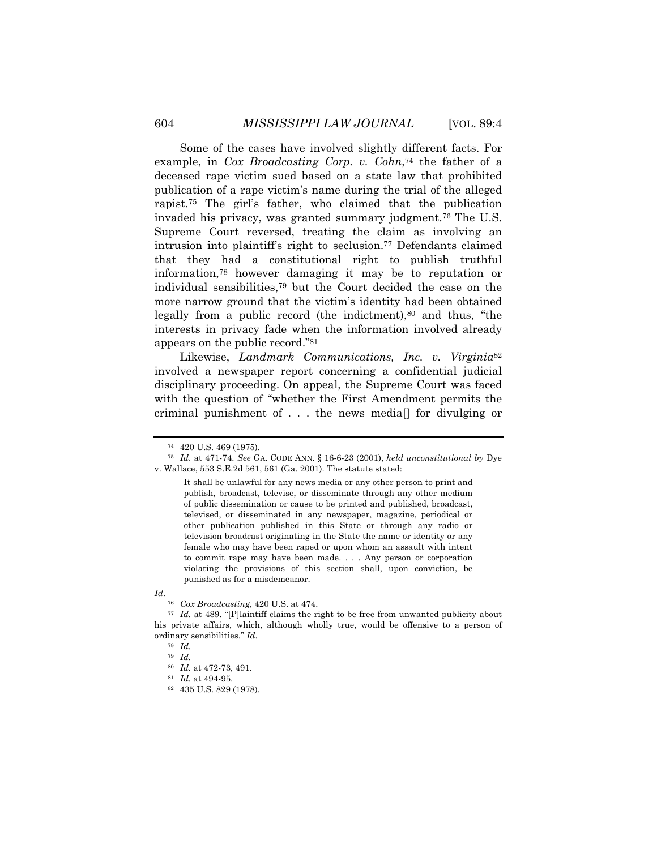Some of the cases have involved slightly different facts. For example, in *Cox Broadcasting Corp. v. Cohn*,74 the father of a deceased rape victim sued based on a state law that prohibited publication of a rape victim's name during the trial of the alleged rapist.75 The girl's father, who claimed that the publication invaded his privacy, was granted summary judgment.76 The U.S. Supreme Court reversed, treating the claim as involving an intrusion into plaintiff's right to seclusion.77 Defendants claimed that they had a constitutional right to publish truthful information,78 however damaging it may be to reputation or individual sensibilities,79 but the Court decided the case on the more narrow ground that the victim's identity had been obtained legally from a public record (the indictment),<sup>80</sup> and thus, "the interests in privacy fade when the information involved already appears on the public record."81

Likewise, *Landmark Communications, Inc. v. Virginia*<sup>82</sup> involved a newspaper report concerning a confidential judicial disciplinary proceeding. On appeal, the Supreme Court was faced with the question of "whether the First Amendment permits the criminal punishment of . . . the news media[] for divulging or

<sup>74 420</sup> U.S. 469 (1975).

<sup>75</sup> *Id*. at 471-74. *See* GA. CODE ANN. § 16-6-23 (2001), *held unconstitutional by* Dye v. Wallace, 553 S.E.2d 561, 561 (Ga. 2001). The statute stated:

It shall be unlawful for any news media or any other person to print and publish, broadcast, televise, or disseminate through any other medium of public dissemination or cause to be printed and published, broadcast, televised, or disseminated in any newspaper, magazine, periodical or other publication published in this State or through any radio or television broadcast originating in the State the name or identity or any female who may have been raped or upon whom an assault with intent to commit rape may have been made. . . . Any person or corporation violating the provisions of this section shall, upon conviction, be punished as for a misdemeanor.

*Id*.

<sup>76</sup> *Cox Broadcasting*, 420 U.S. at 474.

<sup>77</sup> *Id.* at 489. "[P]laintiff claims the right to be free from unwanted publicity about his private affairs, which, although wholly true, would be offensive to a person of ordinary sensibilities." *Id*.

<sup>78</sup> *Id.* <sup>79</sup> *Id.*

<sup>80</sup> *Id.* at 472-73, 491.

<sup>81</sup> *Id.* at 494-95.

<sup>82 435</sup> U.S. 829 (1978).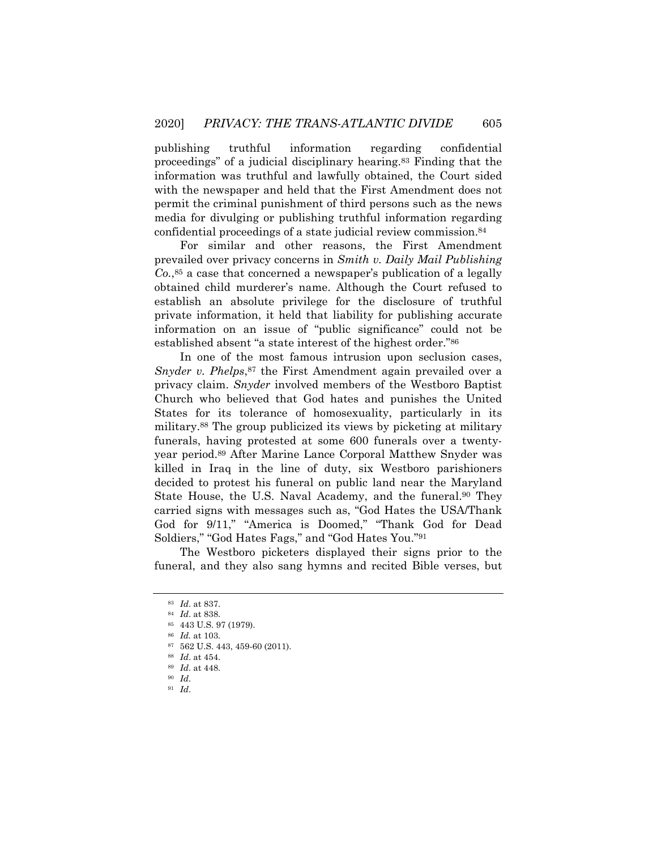publishing truthful information regarding confidential proceedings" of a judicial disciplinary hearing.83 Finding that the information was truthful and lawfully obtained, the Court sided with the newspaper and held that the First Amendment does not permit the criminal punishment of third persons such as the news media for divulging or publishing truthful information regarding confidential proceedings of a state judicial review commission.84

For similar and other reasons, the First Amendment prevailed over privacy concerns in *Smith v. Daily Mail Publishing Co.*,85 a case that concerned a newspaper's publication of a legally obtained child murderer's name. Although the Court refused to establish an absolute privilege for the disclosure of truthful private information, it held that liability for publishing accurate information on an issue of "public significance" could not be established absent "a state interest of the highest order."86

In one of the most famous intrusion upon seclusion cases, *Snyder v. Phelps*,87 the First Amendment again prevailed over a privacy claim. *Snyder* involved members of the Westboro Baptist Church who believed that God hates and punishes the United States for its tolerance of homosexuality, particularly in its military.88 The group publicized its views by picketing at military funerals, having protested at some 600 funerals over a twentyyear period.89 After Marine Lance Corporal Matthew Snyder was killed in Iraq in the line of duty, six Westboro parishioners decided to protest his funeral on public land near the Maryland State House, the U.S. Naval Academy, and the funeral.90 They carried signs with messages such as, "God Hates the USA/Thank God for 9/11," "America is Doomed," "Thank God for Dead Soldiers," "God Hates Fags," and "God Hates You."91

The Westboro picketers displayed their signs prior to the funeral, and they also sang hymns and recited Bible verses, but

<sup>83</sup> *Id*. at 837.

<sup>84</sup> *Id*. at 838.

<sup>85 443</sup> U.S. 97 (1979).

<sup>86</sup> *Id.* at 103. 87 562 U.S. 443, 459-60 (2011).

<sup>88</sup> *Id*. at 454.

<sup>89</sup> *Id*. at 448.

<sup>90</sup> *Id*.

<sup>91</sup> *Id*.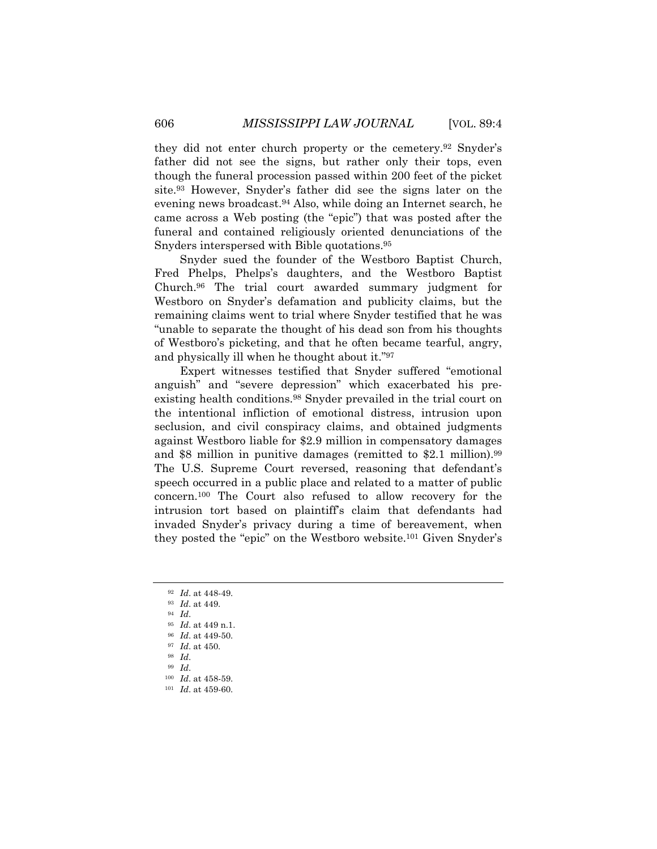they did not enter church property or the cemetery.92 Snyder's father did not see the signs, but rather only their tops, even though the funeral procession passed within 200 feet of the picket site.93 However, Snyder's father did see the signs later on the evening news broadcast.94 Also, while doing an Internet search, he came across a Web posting (the "epic") that was posted after the funeral and contained religiously oriented denunciations of the Snyders interspersed with Bible quotations.95

Snyder sued the founder of the Westboro Baptist Church, Fred Phelps, Phelps's daughters, and the Westboro Baptist Church.96 The trial court awarded summary judgment for Westboro on Snyder's defamation and publicity claims, but the remaining claims went to trial where Snyder testified that he was "unable to separate the thought of his dead son from his thoughts of Westboro's picketing, and that he often became tearful, angry, and physically ill when he thought about it."97

Expert witnesses testified that Snyder suffered "emotional anguish" and "severe depression" which exacerbated his preexisting health conditions.98 Snyder prevailed in the trial court on the intentional infliction of emotional distress, intrusion upon seclusion, and civil conspiracy claims, and obtained judgments against Westboro liable for \$2.9 million in compensatory damages and \$8 million in punitive damages (remitted to \$2.1 million).99 The U.S. Supreme Court reversed, reasoning that defendant's speech occurred in a public place and related to a matter of public concern.100 The Court also refused to allow recovery for the intrusion tort based on plaintiff's claim that defendants had invaded Snyder's privacy during a time of bereavement, when they posted the "epic" on the Westboro website.101 Given Snyder's

<sup>92</sup> *Id*. at 448-49.

<sup>93</sup> *Id*. at 449.

<sup>94</sup> *Id*.

<sup>95</sup> *Id*. at 449 n.1.

<sup>96</sup> *Id*. at 449-50. 97 *Id*. at 450.

<sup>98</sup> *Id*.

<sup>99</sup> *Id*.

<sup>100</sup> *Id*. at 458-59.

<sup>101</sup> *Id*. at 459-60.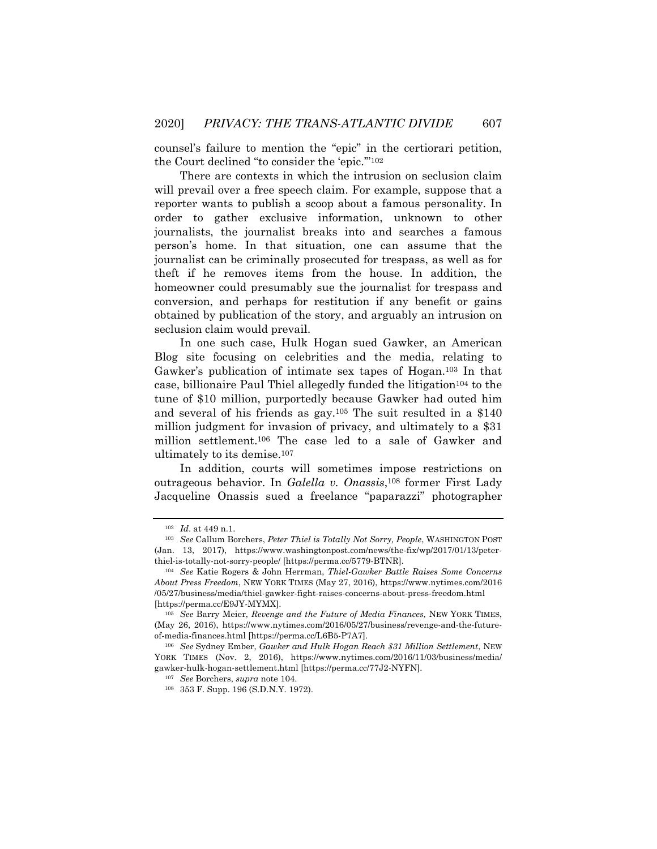counsel's failure to mention the "epic" in the certiorari petition, the Court declined "to consider the 'epic.'"102

There are contexts in which the intrusion on seclusion claim will prevail over a free speech claim. For example, suppose that a reporter wants to publish a scoop about a famous personality. In order to gather exclusive information, unknown to other journalists, the journalist breaks into and searches a famous person's home. In that situation, one can assume that the journalist can be criminally prosecuted for trespass, as well as for theft if he removes items from the house. In addition, the homeowner could presumably sue the journalist for trespass and conversion, and perhaps for restitution if any benefit or gains obtained by publication of the story, and arguably an intrusion on seclusion claim would prevail.

In one such case, Hulk Hogan sued Gawker, an American Blog site focusing on celebrities and the media, relating to Gawker's publication of intimate sex tapes of Hogan.103 In that case, billionaire Paul Thiel allegedly funded the litigation<sup>104</sup> to the tune of \$10 million, purportedly because Gawker had outed him and several of his friends as gay.105 The suit resulted in a \$140 million judgment for invasion of privacy, and ultimately to a \$31 million settlement.106 The case led to a sale of Gawker and ultimately to its demise.107

In addition, courts will sometimes impose restrictions on outrageous behavior. In *Galella v. Onassis*,108 former First Lady Jacqueline Onassis sued a freelance "paparazzi" photographer

<sup>102</sup> *Id*. at 449 n.1.

<sup>103</sup> *See* Callum Borchers, *Peter Thiel is Totally Not Sorry, People*, WASHINGTON POST (Jan. 13, 2017), https://www.washingtonpost.com/news/the-fix/wp/2017/01/13/peterthiel-is-totally-not-sorry-people/ [https://perma.cc/5779-BTNR].

<sup>104</sup> *See* Katie Rogers & John Herrman, *Thiel-Gawker Battle Raises Some Concerns About Press Freedom*, NEW YORK TIMES (May 27, 2016), https://www.nytimes.com/2016 /05/27/business/media/thiel-gawker-fight-raises-concerns-about-press-freedom.html [https://perma.cc/E9JY-MYMX].

<sup>105</sup> *See* Barry Meier, *Revenge and the Future of Media Finances*, NEW YORK TIMES, (May 26, 2016), https://www.nytimes.com/2016/05/27/business/revenge-and-the-futureof-media-finances.html [https://perma.cc/L6B5-P7A7].

<sup>106</sup> *See* Sydney Ember, *Gawker and Hulk Hogan Reach \$31 Million Settlement*, NEW YORK TIMES (Nov. 2, 2016), https://www.nytimes.com/2016/11/03/business/media/ gawker-hulk-hogan-settlement.html [https://perma.cc/77J2-NYFN].

<sup>107</sup> *See* Borchers, *supra* note 104.

<sup>108 353</sup> F. Supp. 196 (S.D.N.Y. 1972).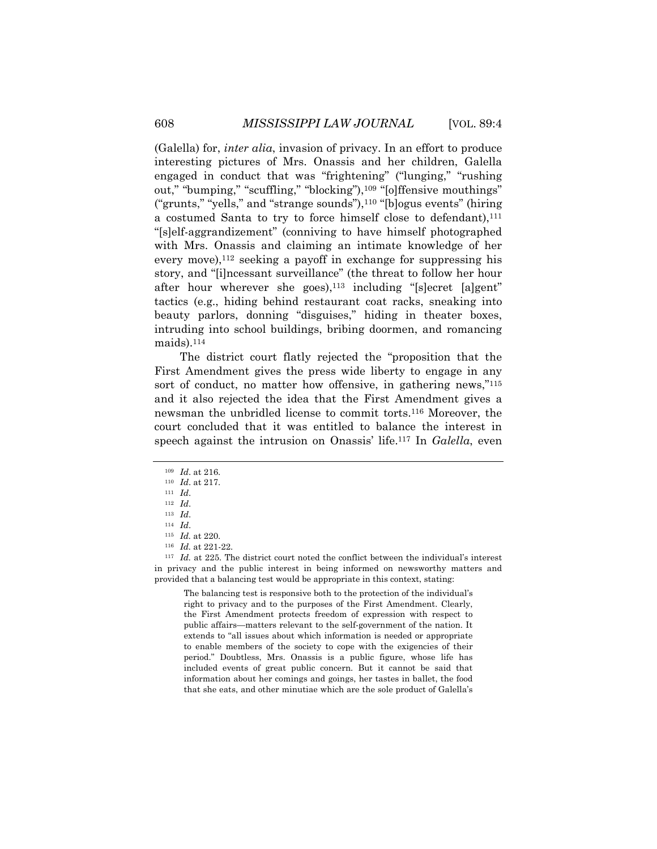(Galella) for, *inter alia*, invasion of privacy. In an effort to produce interesting pictures of Mrs. Onassis and her children, Galella engaged in conduct that was "frightening" ("lunging," "rushing out," "bumping," "scuffling," "blocking"),109 "[o]ffensive mouthings" ("grunts," "yells," and "strange sounds"),110 "[b]ogus events" (hiring a costumed Santa to try to force himself close to defendant),<sup>111</sup> "[s]elf-aggrandizement" (conniving to have himself photographed with Mrs. Onassis and claiming an intimate knowledge of her every move), $112$  seeking a payoff in exchange for suppressing his story, and "[i]ncessant surveillance" (the threat to follow her hour after hour wherever she goes),<sup>113</sup> including "[s]ecret [a]gent" tactics (e.g., hiding behind restaurant coat racks, sneaking into beauty parlors, donning "disguises," hiding in theater boxes, intruding into school buildings, bribing doormen, and romancing maids). $114$ 

The district court flatly rejected the "proposition that the First Amendment gives the press wide liberty to engage in any sort of conduct, no matter how offensive, in gathering news,"<sup>115</sup> and it also rejected the idea that the First Amendment gives a newsman the unbridled license to commit torts.116 Moreover, the court concluded that it was entitled to balance the interest in speech against the intrusion on Onassis' life.117 In *Galella*, even

<sup>117</sup> *Id.* at 225. The district court noted the conflict between the individual's interest in privacy and the public interest in being informed on newsworthy matters and provided that a balancing test would be appropriate in this context, stating:

The balancing test is responsive both to the protection of the individual's right to privacy and to the purposes of the First Amendment. Clearly, the First Amendment protects freedom of expression with respect to public affairs—matters relevant to the self-government of the nation. It extends to "all issues about which information is needed or appropriate to enable members of the society to cope with the exigencies of their period." Doubtless, Mrs. Onassis is a public figure, whose life has included events of great public concern. But it cannot be said that information about her comings and goings, her tastes in ballet, the food that she eats, and other minutiae which are the sole product of Galella's

<sup>109</sup> *Id*. at 216.

<sup>110</sup> *Id*. at 217.

<sup>111</sup> *Id*.

<sup>112</sup> *Id*.

<sup>113</sup> *Id*.

<sup>114</sup> *Id*.

<sup>115</sup> *Id.* at 220.

<sup>116</sup> *Id.* at 221-22.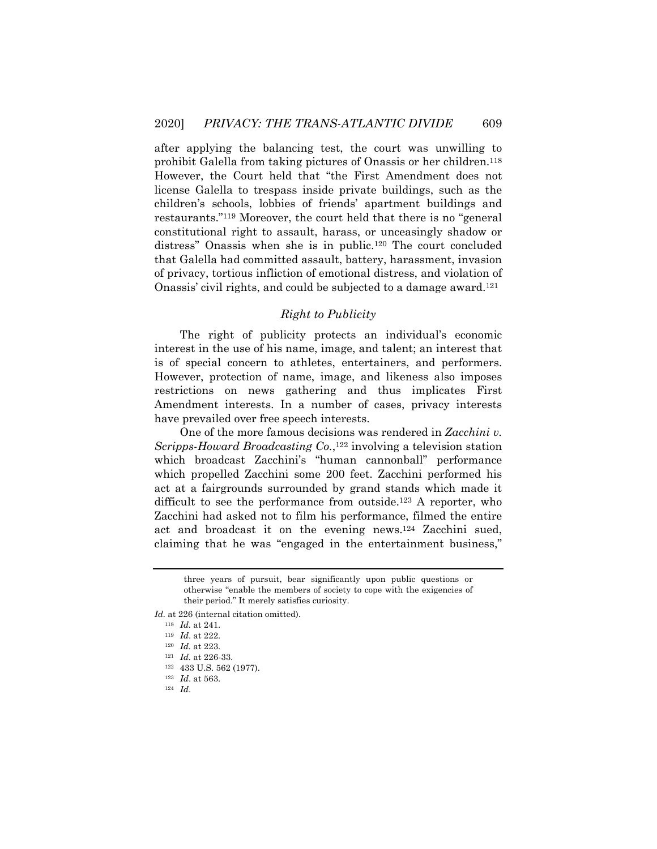after applying the balancing test, the court was unwilling to prohibit Galella from taking pictures of Onassis or her children.118 However, the Court held that "the First Amendment does not license Galella to trespass inside private buildings, such as the children's schools, lobbies of friends' apartment buildings and restaurants."119 Moreover, the court held that there is no "general constitutional right to assault, harass, or unceasingly shadow or distress" Onassis when she is in public.120 The court concluded that Galella had committed assault, battery, harassment, invasion of privacy, tortious infliction of emotional distress, and violation of Onassis' civil rights, and could be subjected to a damage award.121

# *Right to Publicity*

The right of publicity protects an individual's economic interest in the use of his name, image, and talent; an interest that is of special concern to athletes, entertainers, and performers. However, protection of name, image, and likeness also imposes restrictions on news gathering and thus implicates First Amendment interests. In a number of cases, privacy interests have prevailed over free speech interests.

One of the more famous decisions was rendered in *Zacchini v. Scripps-Howard Broadcasting Co.*,<sup>122</sup> involving a television station which broadcast Zacchini's "human cannonball" performance which propelled Zacchini some 200 feet. Zacchini performed his act at a fairgrounds surrounded by grand stands which made it difficult to see the performance from outside.123 A reporter, who Zacchini had asked not to film his performance, filmed the entire act and broadcast it on the evening news.124 Zacchini sued, claiming that he was "engaged in the entertainment business,"

*Id.* at 226 (internal citation omitted).

three years of pursuit, bear significantly upon public questions or otherwise "enable the members of society to cope with the exigencies of their period." It merely satisfies curiosity.

 $\begin{array}{ll} 118 & Id. \text{ at } 241. \\ 119 & Id. \text{ at } 222. \end{array}$ 

<sup>&</sup>lt;sup>120</sup> *Id.* at 223.

<sup>121</sup> *Id.* at 226-33.

<sup>122 433</sup> U.S. 562 (1977).

<sup>123</sup> *Id*. at 563.

<sup>124</sup> *Id*.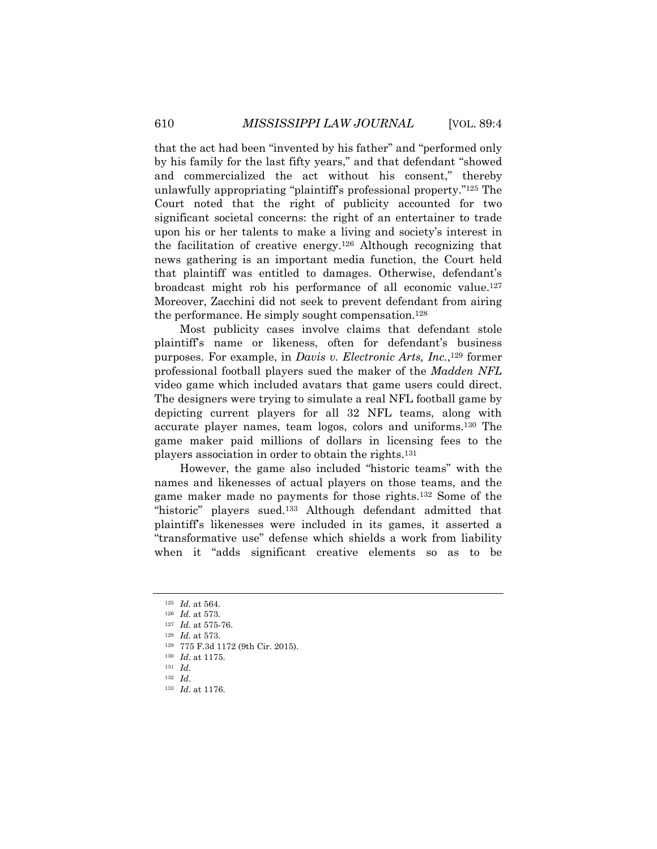that the act had been "invented by his father" and "performed only by his family for the last fifty years," and that defendant "showed and commercialized the act without his consent," thereby unlawfully appropriating "plaintiff's professional property."125 The Court noted that the right of publicity accounted for two significant societal concerns: the right of an entertainer to trade upon his or her talents to make a living and society's interest in the facilitation of creative energy.126 Although recognizing that news gathering is an important media function, the Court held that plaintiff was entitled to damages. Otherwise, defendant's broadcast might rob his performance of all economic value.127 Moreover, Zacchini did not seek to prevent defendant from airing the performance. He simply sought compensation.128

Most publicity cases involve claims that defendant stole plaintiff's name or likeness, often for defendant's business purposes. For example, in *Davis v. Electronic Arts, Inc.*,129 former professional football players sued the maker of the *Madden NFL* video game which included avatars that game users could direct. The designers were trying to simulate a real NFL football game by depicting current players for all 32 NFL teams, along with accurate player names, team logos, colors and uniforms.130 The game maker paid millions of dollars in licensing fees to the players association in order to obtain the rights.131

However, the game also included "historic teams" with the names and likenesses of actual players on those teams, and the game maker made no payments for those rights.132 Some of the "historic" players sued.133 Although defendant admitted that plaintiff's likenesses were included in its games, it asserted a "transformative use" defense which shields a work from liability when it "adds significant creative elements so as to be

<sup>125</sup> *Id.* at 564.

<sup>126</sup> *Id.* at 573.

<sup>127</sup> *Id.* at 575-76.

<sup>128</sup> *Id.* at 573. 129 775 F.3d 1172 (9th Cir. 2015).

<sup>130</sup> *Id*. at 1175.

<sup>131</sup> *Id*.

<sup>132</sup> *Id*.

<sup>133</sup> *Id*. at 1176.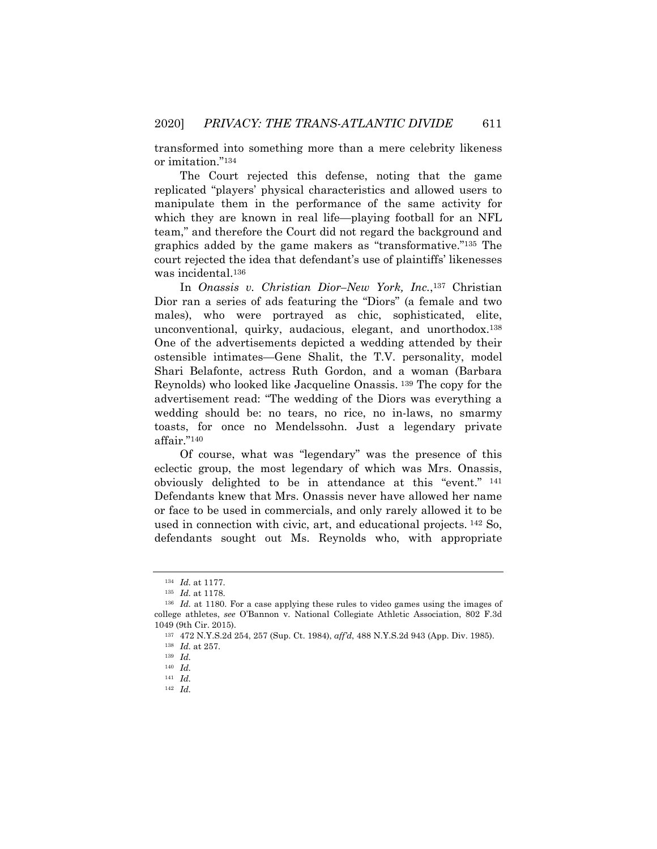transformed into something more than a mere celebrity likeness or imitation."134

The Court rejected this defense, noting that the game replicated "players' physical characteristics and allowed users to manipulate them in the performance of the same activity for which they are known in real life—playing football for an NFL team," and therefore the Court did not regard the background and graphics added by the game makers as "transformative."135 The court rejected the idea that defendant's use of plaintiffs' likenesses was incidental.136

In *Onassis v. Christian Dior–New York, Inc.*,137 Christian Dior ran a series of ads featuring the "Diors" (a female and two males), who were portrayed as chic, sophisticated, elite, unconventional, quirky, audacious, elegant, and unorthodox.138 One of the advertisements depicted a wedding attended by their ostensible intimates—Gene Shalit, the T.V. personality, model Shari Belafonte, actress Ruth Gordon, and a woman (Barbara Reynolds) who looked like Jacqueline Onassis. 139 The copy for the advertisement read: "The wedding of the Diors was everything a wedding should be: no tears, no rice, no in-laws, no smarmy toasts, for once no Mendelssohn. Just a legendary private affair."140

Of course, what was "legendary" was the presence of this eclectic group, the most legendary of which was Mrs. Onassis, obviously delighted to be in attendance at this "event." 141 Defendants knew that Mrs. Onassis never have allowed her name or face to be used in commercials, and only rarely allowed it to be used in connection with civic, art, and educational projects. 142 So, defendants sought out Ms. Reynolds who, with appropriate

<sup>134</sup> *Id.* at 1177.

<sup>135</sup> *Id.* at 1178.

<sup>136</sup> *Id.* at 1180. For a case applying these rules to video games using the images of college athletes, *see* O'Bannon v. National Collegiate Athletic Association, 802 F.3d 1049 (9th Cir. 2015).

<sup>137 472</sup> N.Y.S.2d 254, 257 (Sup. Ct. 1984), *aff'd*, 488 N.Y.S.2d 943 (App. Div. 1985). 138 *Id.* at 257.

<sup>139</sup> *Id.*

<sup>140</sup> *Id.*

<sup>141</sup> *Id.*

<sup>142</sup> *Id.*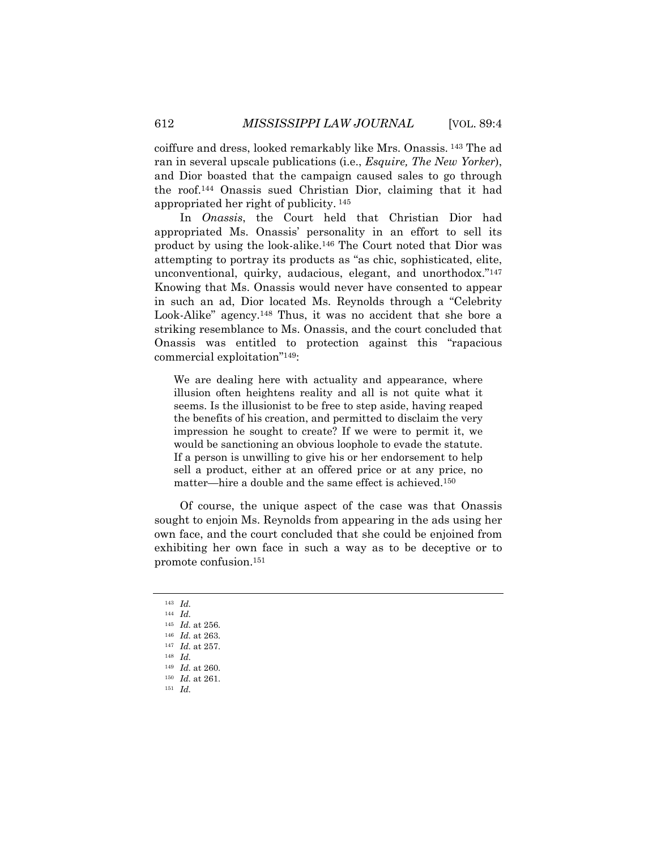coiffure and dress, looked remarkably like Mrs. Onassis. 143 The ad ran in several upscale publications (i.e., *Esquire, The New Yorker*), and Dior boasted that the campaign caused sales to go through the roof.144 Onassis sued Christian Dior, claiming that it had appropriated her right of publicity. 145

In *Onassis*, the Court held that Christian Dior had appropriated Ms. Onassis' personality in an effort to sell its product by using the look-alike.146 The Court noted that Dior was attempting to portray its products as "as chic, sophisticated, elite, unconventional, quirky, audacious, elegant, and unorthodox."147 Knowing that Ms. Onassis would never have consented to appear in such an ad, Dior located Ms. Reynolds through a "Celebrity Look-Alike" agency.148 Thus, it was no accident that she bore a striking resemblance to Ms. Onassis, and the court concluded that Onassis was entitled to protection against this "rapacious commercial exploitation"149:

We are dealing here with actuality and appearance, where illusion often heightens reality and all is not quite what it seems. Is the illusionist to be free to step aside, having reaped the benefits of his creation, and permitted to disclaim the very impression he sought to create? If we were to permit it, we would be sanctioning an obvious loophole to evade the statute. If a person is unwilling to give his or her endorsement to help sell a product, either at an offered price or at any price, no matter—hire a double and the same effect is achieved.150

Of course, the unique aspect of the case was that Onassis sought to enjoin Ms. Reynolds from appearing in the ads using her own face, and the court concluded that she could be enjoined from exhibiting her own face in such a way as to be deceptive or to promote confusion.151

<sup>143</sup> *Id.*

<sup>144</sup> *Id.*

<sup>145</sup> *Id.* at 256.

<sup>146</sup> *Id.* at 263. 147 *Id.* at 257.

<sup>148</sup> *Id.*

<sup>149</sup> *Id.* at 260.

<sup>150</sup> *Id.* at 261.

<sup>151</sup> *Id.*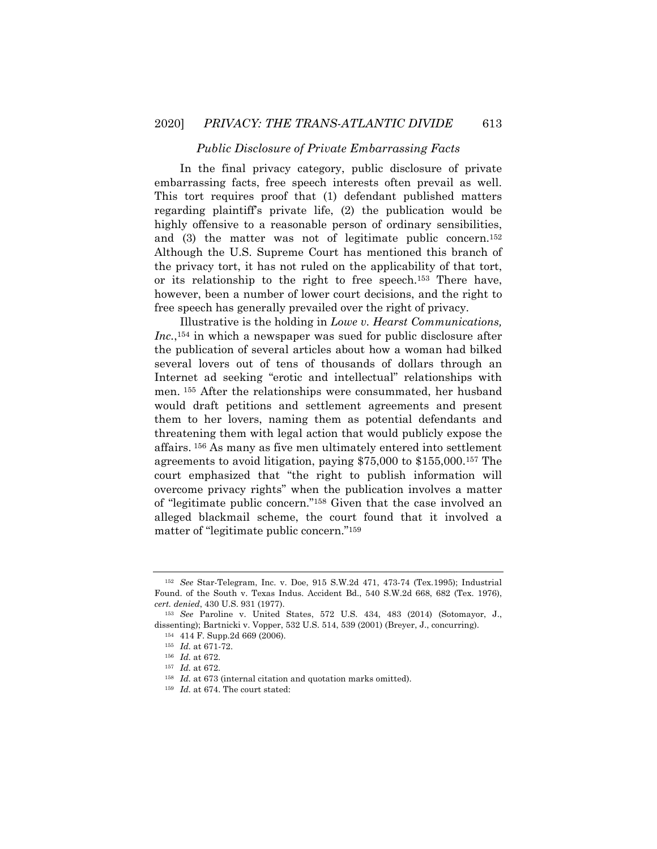# *Public Disclosure of Private Embarrassing Facts*

In the final privacy category, public disclosure of private embarrassing facts, free speech interests often prevail as well. This tort requires proof that (1) defendant published matters regarding plaintiff's private life, (2) the publication would be highly offensive to a reasonable person of ordinary sensibilities, and (3) the matter was not of legitimate public concern.152 Although the U.S. Supreme Court has mentioned this branch of the privacy tort, it has not ruled on the applicability of that tort, or its relationship to the right to free speech.153 There have, however, been a number of lower court decisions, and the right to free speech has generally prevailed over the right of privacy.

Illustrative is the holding in *Lowe v. Hearst Communications, Inc.*,154 in which a newspaper was sued for public disclosure after the publication of several articles about how a woman had bilked several lovers out of tens of thousands of dollars through an Internet ad seeking "erotic and intellectual" relationships with men. 155 After the relationships were consummated, her husband would draft petitions and settlement agreements and present them to her lovers, naming them as potential defendants and threatening them with legal action that would publicly expose the affairs. 156 As many as five men ultimately entered into settlement agreements to avoid litigation, paying \$75,000 to \$155,000.157 The court emphasized that "the right to publish information will overcome privacy rights" when the publication involves a matter of "legitimate public concern."158 Given that the case involved an alleged blackmail scheme, the court found that it involved a matter of "legitimate public concern."159

<sup>152</sup> *See* Star-Telegram, Inc. v. Doe, 915 S.W.2d 471, 473-74 (Tex.1995); Industrial Found. of the South v. Texas Indus. Accident Bd., 540 S.W.2d 668, 682 (Tex. 1976), *cert. denied*, 430 U.S. 931 (1977).

<sup>153</sup> *See* Paroline v. United States, 572 U.S. 434, 483 (2014) (Sotomayor, J., dissenting); Bartnicki v. Vopper, 532 U.S. 514, 539 (2001) (Breyer, J., concurring).

<sup>154 414</sup> F. Supp.2d 669 (2006). 155 *Id.* at 671-72.

<sup>156</sup> *Id.* at 672.

<sup>157</sup> *Id.* at 672.

<sup>158</sup> *Id.* at 673 (internal citation and quotation marks omitted).

<sup>159</sup> *Id.* at 674. The court stated: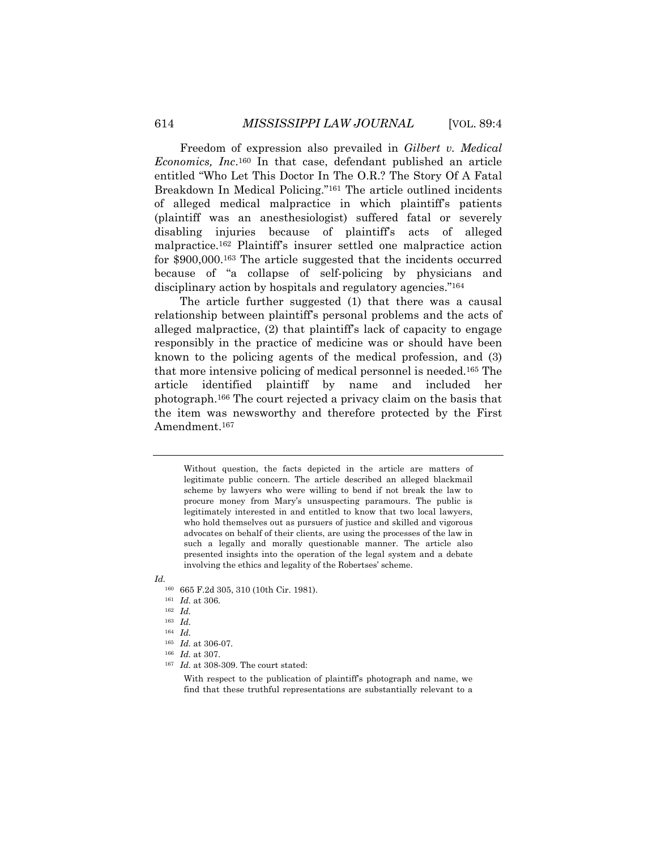Freedom of expression also prevailed in *Gilbert v. Medical Economics, Inc*.160 In that case, defendant published an article entitled "Who Let This Doctor In The O.R.? The Story Of A Fatal Breakdown In Medical Policing."161 The article outlined incidents of alleged medical malpractice in which plaintiff's patients (plaintiff was an anesthesiologist) suffered fatal or severely disabling injuries because of plaintiff's acts of alleged malpractice.162 Plaintiff's insurer settled one malpractice action for \$900,000.163 The article suggested that the incidents occurred because of "a collapse of self-policing by physicians and disciplinary action by hospitals and regulatory agencies."<sup>164</sup>

The article further suggested (1) that there was a causal relationship between plaintiff's personal problems and the acts of alleged malpractice, (2) that plaintiff's lack of capacity to engage responsibly in the practice of medicine was or should have been known to the policing agents of the medical profession, and (3) that more intensive policing of medical personnel is needed.165 The article identified plaintiff by name and included her photograph.166 The court rejected a privacy claim on the basis that the item was newsworthy and therefore protected by the First Amendment.<sup>167</sup>

Without question, the facts depicted in the article are matters of legitimate public concern. The article described an alleged blackmail scheme by lawyers who were willing to bend if not break the law to procure money from Mary's unsuspecting paramours. The public is legitimately interested in and entitled to know that two local lawyers, who hold themselves out as pursuers of justice and skilled and vigorous advocates on behalf of their clients, are using the processes of the law in such a legally and morally questionable manner. The article also presented insights into the operation of the legal system and a debate involving the ethics and legality of the Robertses' scheme.

*Id.*

- 160 665 F.2d 305, 310 (10th Cir. 1981).
- <sup>161</sup> *Id.* at 306. 162 *Id.*
- 
- <sup>163</sup> *Id.*
- <sup>164</sup> *Id.*
- <sup>165</sup> *Id.* at 306-07.
- <sup>166</sup> *Id.* at 307.
- <sup>167</sup> *Id.* at 308-309. The court stated:

With respect to the publication of plaintiff's photograph and name, we find that these truthful representations are substantially relevant to a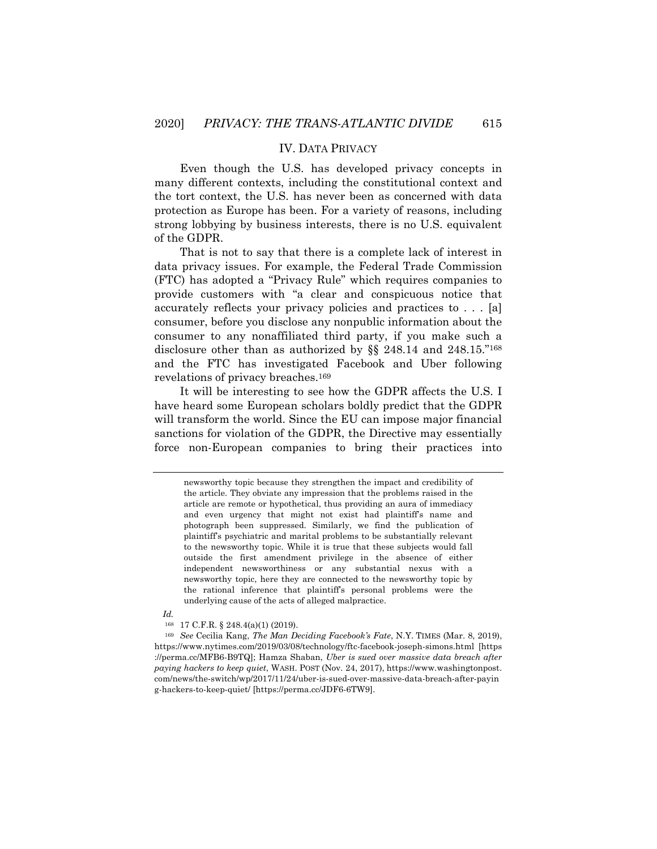# IV. DATA PRIVACY

Even though the U.S. has developed privacy concepts in many different contexts, including the constitutional context and the tort context, the U.S. has never been as concerned with data protection as Europe has been. For a variety of reasons, including strong lobbying by business interests, there is no U.S. equivalent of the GDPR.

That is not to say that there is a complete lack of interest in data privacy issues. For example, the Federal Trade Commission (FTC) has adopted a "Privacy Rule" which requires companies to provide customers with "a clear and conspicuous notice that accurately reflects your privacy policies and practices to . . . [a] consumer, before you disclose any nonpublic information about the consumer to any nonaffiliated third party, if you make such a disclosure other than as authorized by §§ 248.14 and 248.15."168 and the FTC has investigated Facebook and Uber following revelations of privacy breaches.169

It will be interesting to see how the GDPR affects the U.S. I have heard some European scholars boldly predict that the GDPR will transform the world. Since the EU can impose major financial sanctions for violation of the GDPR, the Directive may essentially force non-European companies to bring their practices into

*Id.*

newsworthy topic because they strengthen the impact and credibility of the article. They obviate any impression that the problems raised in the article are remote or hypothetical, thus providing an aura of immediacy and even urgency that might not exist had plaintiff's name and photograph been suppressed. Similarly, we find the publication of plaintiff's psychiatric and marital problems to be substantially relevant to the newsworthy topic. While it is true that these subjects would fall outside the first amendment privilege in the absence of either independent newsworthiness or any substantial nexus with a newsworthy topic, here they are connected to the newsworthy topic by the rational inference that plaintiff's personal problems were the underlying cause of the acts of alleged malpractice.

<sup>168 17</sup> C.F.R. § 248.4(a)(1) (2019).

<sup>169</sup> *See* Cecilia Kang, *The Man Deciding Facebook's Fate*, N.Y. TIMES (Mar. 8, 2019), https://www.nytimes.com/2019/03/08/technology/ftc-facebook-joseph-simons.html [https ://perma.cc/MFB6-B9TQ]; Hamza Shaban, *Uber is sued over massive data breach after paying hackers to keep quiet*, WASH. POST (Nov. 24, 2017), https://www.washingtonpost. com/news/the-switch/wp/2017/11/24/uber-is-sued-over-massive-data-breach-after-payin g-hackers-to-keep-quiet/ [https://perma.cc/JDF6-6TW9].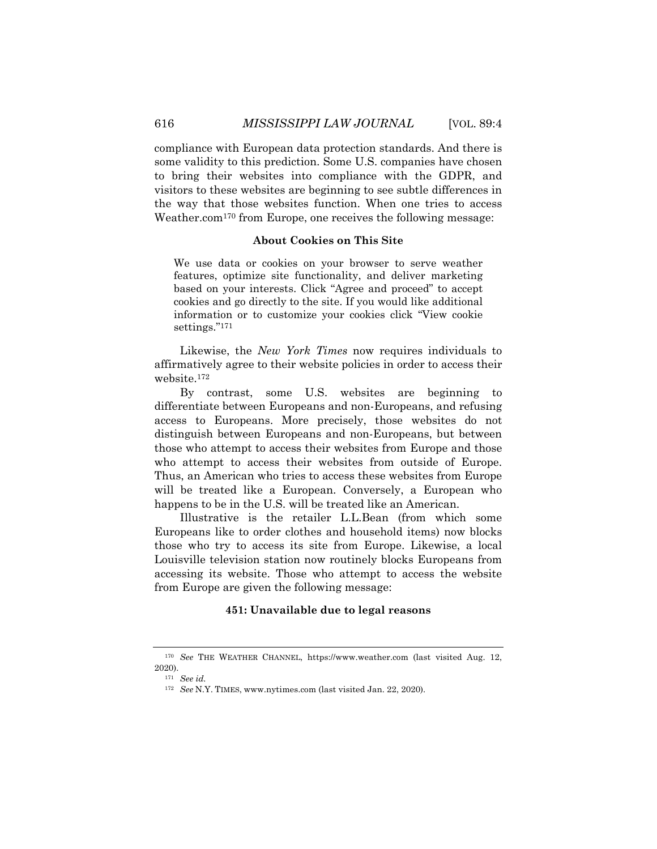compliance with European data protection standards. And there is some validity to this prediction. Some U.S. companies have chosen to bring their websites into compliance with the GDPR, and visitors to these websites are beginning to see subtle differences in the way that those websites function. When one tries to access Weather.com170 from Europe, one receives the following message:

### **About Cookies on This Site**

We use data or cookies on your browser to serve weather features, optimize site functionality, and deliver marketing based on your interests. Click "Agree and proceed" to accept cookies and go directly to the site. If you would like additional information or to customize your cookies click "View cookie settings."171

Likewise, the *New York Times* now requires individuals to affirmatively agree to their website policies in order to access their website.172

By contrast, some U.S. websites are beginning to differentiate between Europeans and non-Europeans, and refusing access to Europeans. More precisely, those websites do not distinguish between Europeans and non-Europeans, but between those who attempt to access their websites from Europe and those who attempt to access their websites from outside of Europe. Thus, an American who tries to access these websites from Europe will be treated like a European. Conversely, a European who happens to be in the U.S. will be treated like an American.

Illustrative is the retailer L.L.Bean (from which some Europeans like to order clothes and household items) now blocks those who try to access its site from Europe. Likewise, a local Louisville television station now routinely blocks Europeans from accessing its website. Those who attempt to access the website from Europe are given the following message:

#### **451: Unavailable due to legal reasons**

<sup>170</sup> *See* THE WEATHER CHANNEL, https://www.weather.com (last visited Aug. 12, 2020).

<sup>171</sup> *See id.*

<sup>172</sup> *See* N.Y. TIMES, www.nytimes.com (last visited Jan. 22, 2020).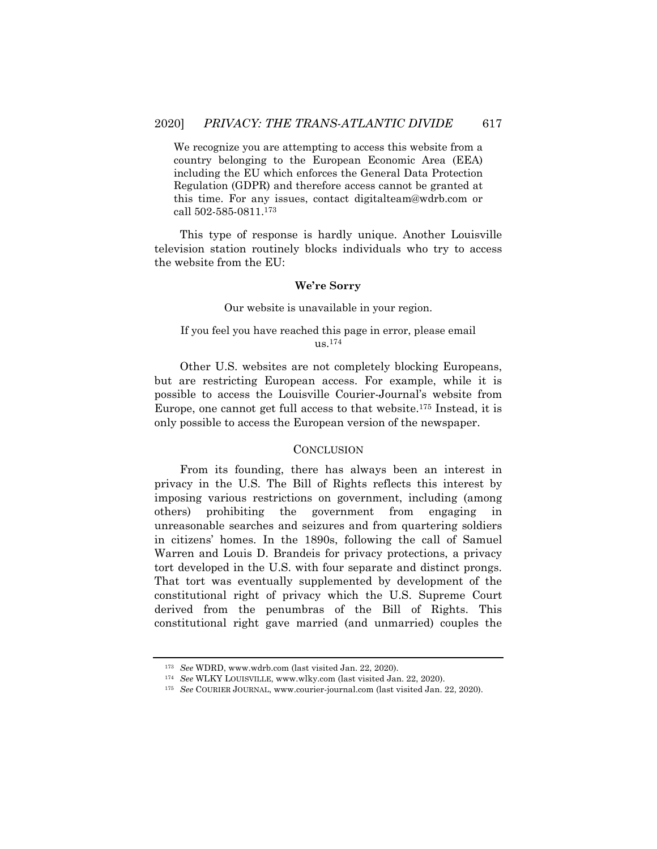We recognize you are attempting to access this website from a country belonging to the European Economic Area (EEA) including the EU which enforces the General Data Protection Regulation (GDPR) and therefore access cannot be granted at this time. For any issues, contact digitalteam@wdrb.com or call 502-585-0811.173

This type of response is hardly unique. Another Louisville television station routinely blocks individuals who try to access the website from the EU:

#### **We're Sorry**

Our website is unavailable in your region.

### If you feel you have reached this page in error, please email us.174

Other U.S. websites are not completely blocking Europeans, but are restricting European access. For example, while it is possible to access the Louisville Courier-Journal's website from Europe, one cannot get full access to that website.175 Instead, it is only possible to access the European version of the newspaper.

### **CONCLUSION**

From its founding, there has always been an interest in privacy in the U.S. The Bill of Rights reflects this interest by imposing various restrictions on government, including (among others) prohibiting the government from engaging unreasonable searches and seizures and from quartering soldiers in citizens' homes. In the 1890s, following the call of Samuel Warren and Louis D. Brandeis for privacy protections, a privacy tort developed in the U.S. with four separate and distinct prongs. That tort was eventually supplemented by development of the constitutional right of privacy which the U.S. Supreme Court derived from the penumbras of the Bill of Rights. This constitutional right gave married (and unmarried) couples the

<sup>173</sup> *See* WDRD, www.wdrb.com (last visited Jan. 22, 2020).

<sup>174</sup> *See* WLKY LOUISVILLE, www.wlky.com (last visited Jan. 22, 2020).

<sup>&</sup>lt;sup>175</sup> See COURIER JOURNAL, www.courier-journal.com (last visited Jan. 22, 2020).